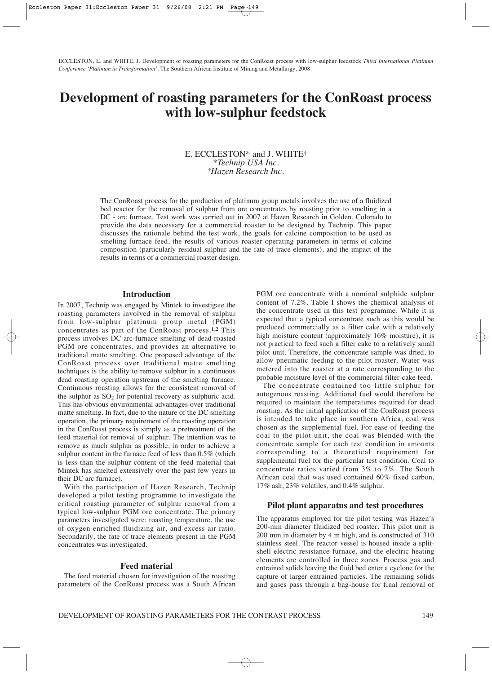ECCLESTON, E. and WHITE, J. Development of roasting parameters for the ConRoast process with low-sulphur feedstock *Third International Platinum Conference 'Platinum in Transformation',* The Southern African Institute of Mining and Metallurgy, 2008.

# **Development of roasting parameters for the ConRoast process with low-sulphur feedstock**

## E. ECCLESTON\* and J. WHITE† *\*Technip USA Inc. †Hazen Research Inc.*

The ConRoast process for the production of platinum group metals involves the use of a fluidized bed reactor for the removal of sulphur from ore concentrates by roasting prior to smelting in a DC - arc furnace. Test work was carried out in 2007 at Hazen Research in Golden, Colorado to provide the data necessary for a commercial roaster to be designed by Technip. This paper discusses the rationale behind the test work, the goals for calcine composition to be used as smelting furnace feed, the results of various roaster operating parameters in terms of calcine composition (particularly residual sulphur and the fate of trace elements), and the impact of the results in terms of a commercial roaster design.

#### **Introduction**

In 2007, Technip was engaged by Mintek to investigate the roasting parameters involved in the removal of sulphur from low-sulphur platinum group metal (PGM) concentrates as part of the ConRoast process.**1,2** This process involves DC-arc-furnace smelting of dead-roasted PGM ore concentrates, and provides an alternative to traditional matte smelting. One proposed advantage of the ConRoast process over traditional matte smelting techniques is the ability to remove sulphur in a continuous dead roasting operation upstream of the smelting furnace. Continuous roasting allows for the consistent removal of the sulphur as  $SO<sub>2</sub>$  for potential recovery as sulphuric acid. This has obvious environmental advantages over traditional matte smelting. In fact, due to the nature of the DC smelting operation, the primary requirement of the roasting operation in the ConRoast process is simply as a pretreatment of the feed material for removal of sulphur. The intention was to remove as much sulphur as possible, in order to achieve a sulphur content in the furnace feed of less than 0.5% (which is less than the sulphur content of the feed material that Mintek has smelted extensively over the past few years in their DC arc furnace).

With the participation of Hazen Research, Technip developed a pilot testing programme to investigate the critical roasting parameter of sulphur removal from a typical low-sulphur PGM ore concentrate. The primary parameters investigated were: roasting temperature, the use of oxygen-enriched fluidizing air, and excess air ratio. Secondarily, the fate of trace elements present in the PGM concentrates was investigated.

#### **Feed material**

The feed material chosen for investigation of the roasting parameters of the ConRoast process was a South African PGM ore concentrate with a nominal sulphide sulphur content of 7.2%. Table I shows the chemical analysis of the concentrate used in this test programme. While it is expected that a typical concentrate such as this would be produced commercially as a filter cake with a relatively high moisture content (approximately 16% moisture), it is not practical to feed such a filter cake to a relatively small pilot unit. Therefore, the concentrate sample was dried, to allow pneumatic feeding to the pilot roaster. Water was metered into the roaster at a rate corresponding to the probable moisture level of the commercial filter-cake feed.

The concentrate contained too little sulphur for autogenous roasting. Additional fuel would therefore be required to maintain the temperatures required for dead roasting. As the initial application of the ConRoast process is intended to take place in southern Africa, coal was chosen as the supplemental fuel. For ease of feeding the coal to the pilot unit, the coal was blended with the concentrate sample for each test condition in amounts corresponding to a theoretical requirement for supplemental fuel for the particular test condition. Coal to concentrate ratios varied from 3% to 7%. The South African coal that was used contained 60% fixed carbon, 17% ash, 23% volatiles, and 0.4% sulphur.

#### **Pilot plant apparatus and test procedures**

The apparatus employed for the pilot testing was Hazen's 200-mm diameter fluidized bed roaster. This pilot unit is 200 mm in diameter by 4 m high, and is constructed of 310 stainless steel. The reactor vessel is housed inside a splitshell electric resistance furnace, and the electric heating elements are controlled in three zones. Process gas and entrained solids leaving the fluid bed enter a cyclone for the capture of larger entrained particles. The remaining solids and gases pass through a bag-house for final removal of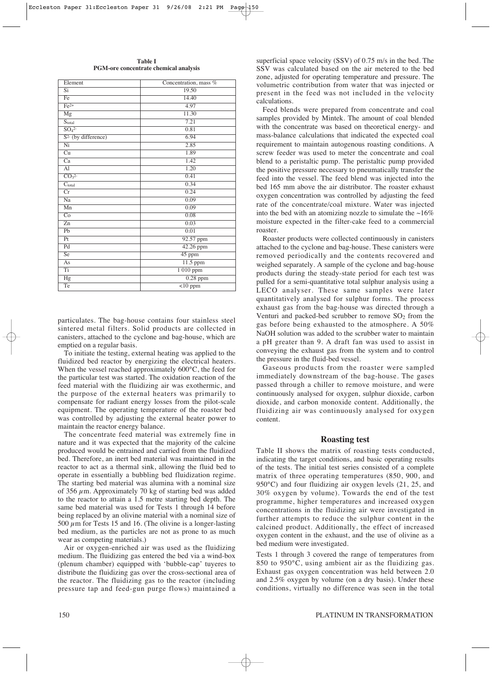| Lichiche                     | Concentration, mass $\pi$ |  |  |  |
|------------------------------|---------------------------|--|--|--|
| Si                           | 19.50                     |  |  |  |
| Fe                           | 14.40                     |  |  |  |
| $Fe2+$                       | 4.97                      |  |  |  |
| $\overline{\text{Mg}}$       | 11.30                     |  |  |  |
| $\overline{S_{total}}$       | 7.21                      |  |  |  |
| SO <sub>4</sub> <sup>2</sup> | 0.81                      |  |  |  |
| $S2$ (by difference)         | 6.94                      |  |  |  |
| Ni                           | 2.85                      |  |  |  |
| $\overline{\mathrm{Cu}}$     | 1.89                      |  |  |  |
| Ca                           | 1.42                      |  |  |  |
| $\overline{Al}$              | 1.20                      |  |  |  |
| CO <sub>3</sub> <sup>2</sup> | 0.41                      |  |  |  |
| $C_{total}$                  | 0.34                      |  |  |  |
| Cr                           | 0.24                      |  |  |  |
| Na                           | 0.09                      |  |  |  |
| Mn                           | 0.09                      |  |  |  |
| Co                           | 0.08                      |  |  |  |
| $\overline{z}$ n             | 0.03                      |  |  |  |
| Pb                           | 0.01                      |  |  |  |
| Pt                           | 92.57 ppm                 |  |  |  |
| Pd                           | 42.26 ppm                 |  |  |  |
| Se                           | 45 ppm                    |  |  |  |
| As                           | $11.5$ ppm                |  |  |  |
| Ti                           | 1 010 ppm                 |  |  |  |
| Hg                           | $\overline{0.28}$ ppm     |  |  |  |
| Te                           | $\sqrt{10}$ ppm           |  |  |  |
|                              |                           |  |  |  |

**Table I PGM-ore concentrate chemical analysis**

Element Concentration, mass  $\mathcal{O}_k$ 

particulates. The bag-house contains four stainless steel sintered metal filters. Solid products are collected in canisters, attached to the cyclone and bag-house, which are emptied on a regular basis.

To initiate the testing, external heating was applied to the fluidized bed reactor by energizing the electrical heaters. When the vessel reached approximately 600°C, the feed for the particular test was started. The oxidation reaction of the feed material with the fluidizing air was exothermic, and the purpose of the external heaters was primarily to compensate for radiant energy losses from the pilot-scale equipment. The operating temperature of the roaster bed was controlled by adjusting the external heater power to maintain the reactor energy balance.

The concentrate feed material was extremely fine in nature and it was expected that the majority of the calcine produced would be entrained and carried from the fluidized bed. Therefore, an inert bed material was maintained in the reactor to act as a thermal sink, allowing the fluid bed to operate in essentially a bubbling bed fluidization regime. The starting bed material was alumina with a nominal size of 356  $\mu$ m. Approximately 70 kg of starting bed was added to the reactor to attain a 1.5 metre starting bed depth. The same bed material was used for Tests 1 through 14 before being replaced by an olivine material with a nominal size of 500  $\mu$ m for Tests 15 and 16. (The olivine is a longer-lasting bed medium, as the particles are not as prone to as much wear as competing materials.)

Air or oxygen-enriched air was used as the fluidizing medium. The fluidizing gas entered the bed via a wind-box (plenum chamber) equipped with 'bubble-cap' tuyeres to distribute the fluidizing gas over the cross-sectional area of the reactor. The fluidizing gas to the reactor (including pressure tap and feed-gun purge flows) maintained a superficial space velocity (SSV) of 0.75 m/s in the bed. The SSV was calculated based on the air metered to the bed zone, adjusted for operating temperature and pressure. The volumetric contribution from water that was injected or present in the feed was not included in the velocity calculations.

Feed blends were prepared from concentrate and coal samples provided by Mintek. The amount of coal blended with the concentrate was based on theoretical energy- and mass-balance calculations that indicated the expected coal requirement to maintain autogenous roasting conditions. A screw feeder was used to meter the concentrate and coal blend to a peristaltic pump. The peristaltic pump provided the positive pressure necessary to pneumatically transfer the feed into the vessel. The feed blend was injected into the bed 165 mm above the air distributor. The roaster exhaust oxygen concentration was controlled by adjusting the feed rate of the concentrate/coal mixture. Water was injected into the bed with an atomizing nozzle to simulate the  $~16\%$ moisture expected in the filter-cake feed to a commercial roaster.

Roaster products were collected continuously in canisters attached to the cyclone and bag-house. These canisters were removed periodically and the contents recovered and weighed separately. A sample of the cyclone and bag-house products during the steady-state period for each test was pulled for a semi-quantitative total sulphur analysis using a LECO analyser. These same samples were later quantitatively analysed for sulphur forms. The process exhaust gas from the bag-house was directed through a Venturi and packed-bed scrubber to remove  $SO<sub>2</sub>$  from the gas before being exhausted to the atmosphere. A 50% NaOH solution was added to the scrubber water to maintain a pH greater than 9. A draft fan was used to assist in conveying the exhaust gas from the system and to control the pressure in the fluid-bed vessel.

Gaseous products from the roaster were sampled immediately downstream of the bag-house. The gases passed through a chiller to remove moisture, and were continuously analysed for oxygen, sulphur dioxide, carbon dioxide, and carbon monoxide content. Additionally, the fluidizing air was continuously analysed for oxygen content.

#### **Roasting test**

Table II shows the matrix of roasting tests conducted, indicating the target conditions, and basic operating results of the tests. The initial test series consisted of a complete matrix of three operating temperatures (850, 900, and 950°C) and four fluidizing air oxygen levels (21, 25, and 30% oxygen by volume). Towards the end of the test programme, higher temperatures and increased oxygen concentrations in the fluidizing air were investigated in further attempts to reduce the sulphur content in the calcined product. Additionally, the effect of increased oxygen content in the exhaust, and the use of olivine as a bed medium were investigated.

Tests 1 through 3 covered the range of temperatures from 850 to 950°C, using ambient air as the fluidizing gas. Exhaust gas oxygen concentration was held between 2.0 and 2.5% oxygen by volume (on a dry basis). Under these conditions, virtually no difference was seen in the total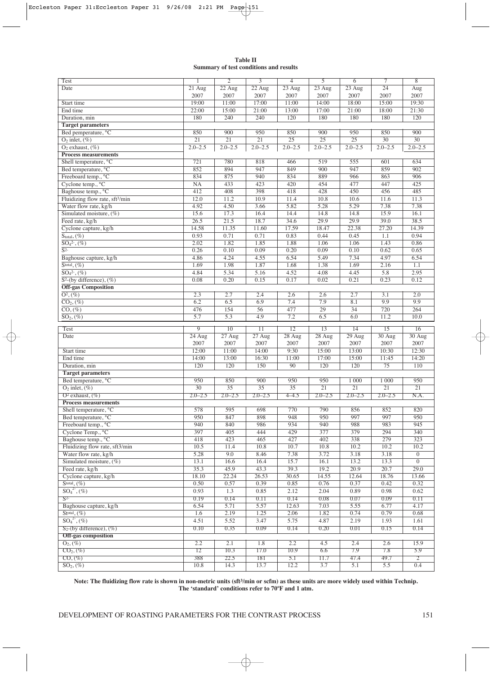| <b>Table II</b> |  |                                        |  |  |  |  |
|-----------------|--|----------------------------------------|--|--|--|--|
|                 |  | Summary of test conditions and results |  |  |  |  |

| Test                                        | 1               | $\overline{2}$   | $\overline{3}$   | $\overline{4}$   | $\overline{5}$  | $\overline{6}$           | $\overline{\tau}$        | $\overline{8}$        |
|---------------------------------------------|-----------------|------------------|------------------|------------------|-----------------|--------------------------|--------------------------|-----------------------|
| Date                                        | 21 Aug          | $22 \text{ Aug}$ | $22 \text{ Aug}$ | $23$ Aug         | $23$ Aug        | 23 Aug                   | $\overline{24}$          | Aug                   |
|                                             | 2007            | 2007             | 2007             | 2007             | 2007            | 2007                     | 2007                     | 2007                  |
| Start time                                  | 19:00           | 11:00            | 17:00            | 11:00            | 14:00           | 18:00                    | 15:00                    | 19:30                 |
| End time                                    | 22:00           | 15:00            | 21:00            | 13:00            | 17:00           | 21:00                    | 18:00                    | 21:30                 |
| Duration, min                               | 180             | 240              | 240              | 120              | 180             | 180                      | 180                      | 120                   |
| <b>Target parameters</b>                    |                 |                  |                  |                  |                 |                          |                          |                       |
| Bed pemperature, °C                         | 850             | 900              | 950              | 850              | 900             | 950                      | 850                      | 900                   |
| $O_2$ inlet, $(\%)$                         | $\overline{21}$ | $\overline{21}$  | $\overline{21}$  | $\overline{25}$  | 25              | 25                       | $\overline{30}$          | 30                    |
| $O2$ exhaust, $(\%)$                        | $2.0 - 2.5$     | $2.0 - 2.5$      | $2.0 - 2.5$      | $2.0 - 2.5$      | $2.0 - 2.5$     | $2.0 - 2.5$              | $2.0 - 2.5$              | $2.0 - 2.5$           |
| <b>Process measurements</b>                 |                 |                  |                  |                  |                 |                          |                          |                       |
| Shell temperature, °C                       | 721             | 780              | 818              | 466              | 519             | 555                      | 601                      | 634                   |
| Bed temperature, °C                         | 852             | 894              | 947              | 849              | 900             | 947                      | 859                      | 902                   |
| Freeboard temp., °C                         | 834             | 875              | 940              | 834              | 889             | 966                      | 863                      | 906                   |
| Cyclone temp., °C                           | NA              | 433              | 423              | 420              | 454             | 477                      | 447                      | 425                   |
| Baghouse temp., °C                          | 412             | 408              | 398              | 418              | 428             | 450                      | 456                      | 485                   |
| Fluidizing flow rate, sft <sup>3</sup> /min | 12.0            | 11.2             | 10.9             | 11.4             | 10.8            | 10.6                     | 11.6                     | 11.3                  |
| Water flow rate, kg/h                       | 4.92            | 4.50             | 3.66             | 5.82             | 5.28            | 5.29                     | 7.38                     | 7.38                  |
| Simulated moisture, (%)                     | 15.6            | 17.3             | 16.4             | 14.4             | 14.8            | 14.8                     | 15.9                     | 16.1                  |
| Feed rate, kg/h                             | 26.5            | 21.5             | 18.7             | 34.6             | 29.9            | 29.9                     | 39.0                     | 38.5                  |
| Cyclone capture, kg/h                       | 14.58           | 11.35            | 11.60            | 17.59            | 18.47           | 22.38                    | 27.20                    | 14.39                 |
| $S_{\text{total}}, (\%)$                    | 0.93            | 0.71             | 0.71             | 0.83             | 0.44            | 0.45                     | 1.1                      | 0.94                  |
| $SO42$ , $(\%)$                             | 2.02            | 1.82             | 1.85             | 1.88             | 1.06            | 1.06                     | 1.43                     | 0.86                  |
| $\overline{S^2}$                            | 0.26            | 0.10             | 0.09             | 0.20             | 0.09            | 0.10                     | 0.62                     | 0.65                  |
| Baghouse capture, kg/h                      | 4.86            | 4.24             | 4.55             | 6.54             | 5.49            | 7.34                     | 4.97                     | 6.54                  |
| $\overline{\mathrm{Stotal}, (\%)}$          | 1.69            | 1.98             | 1.87             | 1.68             | 1.38            | 1.69                     | 2.16                     | 1.1                   |
| $\overline{SO_4^2}$ , $(\%)$                | 4.84            | 5.34             | 5.16             | 4.52             | 4.08            | 4.45                     | 5.8                      | 2.95                  |
| $\overline{S^2$ -(by difference), $(\%)$    | 0.08            | 0.20             | 0.15             | 0.17             | 0.02            | 0.21                     | 0.23                     | 0.12                  |
| <b>Off-gas Composition</b>                  |                 |                  |                  |                  |                 |                          |                          |                       |
| $\overline{O^2,(C)}$                        | 2.3             | 2.7              | 2.4              | 2.6              | 2.6             | 2.7                      | 3.1                      | 2.0                   |
| $\overline{{\rm CO}_2,(\%)}$                | 6.2             | 6.5              | 6.9              | 7.4              | 7.9             | 8.1                      | 9.9                      | 9.9                   |
| $\overline{{\rm CO}, (\%)}$                 | 476             | 154              | 56               | 477              | 29              | $\overline{34}$          | 720                      | 264                   |
| $\overline{SO_2,(\%)}$                      | 5.7             | $\overline{5.3}$ | 4.9              | 7.2              | 6.5             | 6.0                      | 11.2                     | 10.0                  |
|                                             |                 |                  |                  |                  |                 |                          |                          |                       |
|                                             |                 |                  |                  |                  |                 |                          |                          |                       |
| Test                                        | 9               | $\overline{10}$  | 11               | $\overline{12}$  | 13              | 14                       | 15                       | 16                    |
| Date                                        | 24 Aug<br>2007  | 27 Aug           | 27 Aug           | $28$ Aug<br>2007 | 28 Aug          | 29 Aug                   | 30 Aug                   | 30 Aug                |
|                                             | 12:00           | 2007             | 2007             |                  | 2007            | 2007                     | 2007                     | 2007                  |
| Start time<br>End time                      | 14:00           | 11:00<br>13:00   | 14:00<br>16:30   | 9:30<br>11:00    | 15:00<br>17:00  | 13:00<br>15:00           | 10:30<br>11:45           | 12:30<br>14:20        |
| Duration, min                               | 120             | 120              | 150              | 90               | 120             |                          |                          | 110                   |
| <b>Target parameters</b>                    |                 |                  |                  |                  |                 | 120                      | 75                       |                       |
|                                             | 950             | 850              | 900              | 950              | 950             | 1 000                    | 1 0 0 0                  | 950                   |
| Bed temperature, °C<br>$O_2$ inlet, $(\%)$  | 30              | $\overline{35}$  | $\overline{35}$  | 35               | $\overline{21}$ | $\overline{21}$          | $\overline{21}$          | 21                    |
| $O^2$ exhaust, $(\%)$                       | $2.0 - 2.5$     | $2.0 - 2.5$      | $2.0 - 2.5$      | $4 - 4.5$        | $2.0 - 2.5$     | $2.0 - 2.5$              | $2.0 - 2.5$              | N.A.                  |
| <b>Process measurements</b>                 |                 |                  |                  |                  |                 |                          |                          |                       |
| Shell temperature, °C                       | 578             | 595              | 698              | 770              | 790             | 856                      | 852                      | 820                   |
| Bed temperature, °C                         | 950             | 847              | 898              | 948              | 950             | 997                      | 997                      | 950                   |
| Freeboard temp., °C                         | 940             | 840              | 986              | 934              | 940             | 988                      | 983                      | 945                   |
| Cyclone Temp., °C                           | 397             | 405              | 444              | 429              | 377             | 379                      | 294                      | 340                   |
| Baghouse temp., °C                          | 418             | 423              | 465              | 427              | 402             | 338                      | 279                      | 323                   |
| Fluidizing flow rate, sft3/min              | 10.5            | 11.4             | 10.8             | 10.7             | 10.8            | 10.2                     | 10.2                     | 10.2                  |
| Water flow rate, kg/h                       | 5.28            | 9.0              | 8.46             | 7.38             | 3.72            | 3.18                     | 3.18                     | $\overline{0}$        |
| Simulated moisture, $(\%)$                  | 13.1            | 16.6             | 16.4             | 15.7             | 16.1            | 13.2                     | 13.3                     | $\overline{0}$        |
| Feed rate, kg/h                             | 35.3            | 45.9             | 43.3             | 39.3             | 19.2            | 20.9                     | 20.7                     | 29.0                  |
| Cyclone capture, kg/h                       | 18.10           | 22.24            | 26.53            | 30.65            | 14.55           | 12.64                    | 18.76                    | 13.66                 |
| $Stotal, (\%)$                              | 0.50            | 0.57             | 0.39             | 0.85             | 0.76            | 0.37                     | 0.42                     | 0.32                  |
| $SO_4^{2}$ , $(\%)$                         | 0.93            | 1.3              | 0.85             | 2.12             | 2.04            | 0.89                     | 0.98                     | 0.62                  |
| $S^{2-}$                                    | 0.19            | 0.14             | 0.11             | 0.14             | 0.08            | 0.07                     | 0.09                     | 0.11                  |
| Baghouse capture, kg/h                      | 6.54            | 5.71             | 5.57             | 12.63            | 7.03            | 5.55                     | 6.77                     | 4.17                  |
| $Stotal, (\%)$                              | 1.6             | 2.19             | 1.25             | 2.06             | 1.82            | 0.74                     | 0.79                     | 0.68                  |
| $SO_4^2$ , $(\%)$                           | 4.51            | 5.52             | 3.47             | 5.75             | 4.87            | 2.19                     | 1.93                     | 1.61                  |
| $S_2$ -(by difference), $(\%)$              | 0.10            | 0.35             | 0.09             | 0.14             | 0.20            | 0.01                     | 0.15                     | 0.14                  |
| <b>Off-gas composition</b>                  |                 |                  |                  |                  |                 |                          |                          |                       |
| $O_2$ , $(\%)$                              | 2.2             | 2.1              | 1.8              | 2.2              | 4.5             | 2.4                      | 2.6                      | 15.9                  |
| $CO2, (\%)$                                 | 12              | 10.3             | 17.0             | 10.9             | 6.6             | 7.9                      | 7.8                      | 5.9                   |
| $CO, (\%)$<br>$SO_2$ , $(\%)$               | 388<br>10.8     | 22.5<br>14.3     | 181<br>13.7      | 5.1<br>12.2      | 11.7<br>3.7     | 47.4<br>$\overline{5.1}$ | 49.7<br>$\overline{5.5}$ | $\overline{2}$<br>0.4 |

**Note: The fluidizing flow rate is shown in non-metric units (sft3/min or scfm) as these units are more widely used within Technip. The 'standard' conditions refer to 70ºF and 1 atm.**

 $\bigoplus$ 

DEVELOPMENT OF ROASTING PARAMETERS FOR THE CONTRAST PROCESS 151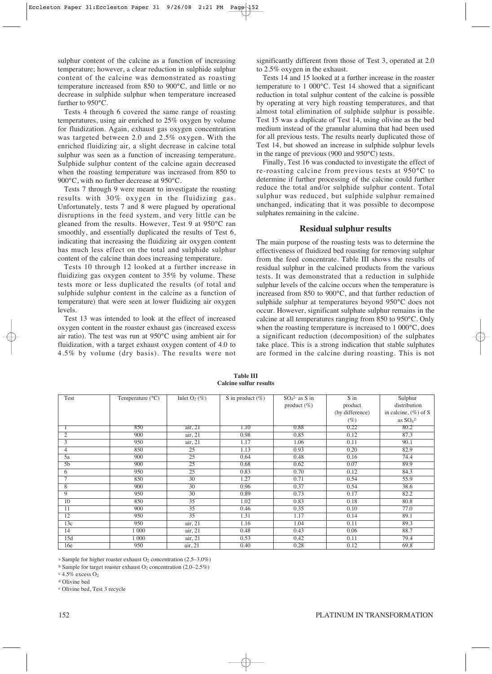sulphur content of the calcine as a function of increasing temperature; however, a clear reduction in sulphide sulphur content of the calcine was demonstrated as roasting temperature increased from 850 to 900°C, and little or no decrease in sulphide sulphur when temperature increased further to 950°C.

Tests 4 through 6 covered the same range of roasting temperatures, using air enriched to 25% oxygen by volume for fluidization. Again, exhaust gas oxygen concentration was targeted between 2.0 and 2.5% oxygen. With the enriched fluidizing air, a slight decrease in calcine total sulphur was seen as a function of increasing temperature. Sulphide sulphur content of the calcine again decreased when the roasting temperature was increased from 850 to 900°C, with no further decrease at 950°C.

Tests 7 through 9 were meant to investigate the roasting results with 30% oxygen in the fluidizing gas. Unfortunately, tests 7 and 8 were plagued by operational disruptions in the feed system, and very little can be gleaned from the results. However, Test 9 at 950°C ran smoothly, and essentially duplicated the results of Test 6, indicating that increasing the fluidizing air oxygen content has much less effect on the total and sulphide sulphur content of the calcine than does increasing temperature.

Tests 10 through 12 looked at a further increase in fluidizing gas oxygen content to 35% by volume. These tests more or less duplicated the results (of total and sulphide sulphur content in the calcine as a function of temperature) that were seen at lower fluidizing air oxygen levels.

Test 13 was intended to look at the effect of increased oxygen content in the roaster exhaust gas (increased excess air ratio). The test was run at 950°C using ambient air for fluidization, with a target exhaust oxygen content of 4.0 to 4.5% by volume (dry basis). The results were not

significantly different from those of Test 3, operated at 2.0 to 2.5% oxygen in the exhaust.

Tests 14 and 15 looked at a further increase in the roaster temperature to 1 000°C. Test 14 showed that a significant reduction in total sulphur content of the calcine is possible by operating at very high roasting temperatures, and that almost total elimination of sulphide sulphur is possible. Test 15 was a duplicate of Test 14, using olivine as the bed medium instead of the granular alumina that had been used for all previous tests. The results nearly duplicated those of Test 14, but showed an increase in sulphide sulphur levels in the range of previous (900 and 950°C) tests.

Finally, Test 16 was conducted to investigate the effect of re-roasting calcine from previous tests at 950°C to determine if further processing of the calcine could further reduce the total and/or sulphide sulphur content. Total sulphur was reduced, but sulphide sulphur remained unchanged, indicating that it was possible to decompose sulphates remaining in the calcine.

### **Residual sulphur results**

The main purpose of the roasting tests was to determine the effectiveness of fluidized bed roasting for removing sulphur from the feed concentrate. Table III shows the results of residual sulphur in the calcined products from the various tests. It was demonstrated that a reduction in sulphide sulphur levels of the calcine occurs when the temperature is increased from 850 to 900°C, and that further reduction of sulphide sulphur at temperatures beyond 950°C does not occur. However, significant sulphate sulphur remains in the calcine at all temperatures ranging from 850 to 950°C. Only when the roasting temperature is increased to 1 000°C, does a significant reduction (decomposition) of the sulphates take place. This is a strong indication that stable sulphates are formed in the calcine during roasting. This is not

| Test           | Temperature $(^{\circ}C)$ | Inlet $O_2$ (%) | S in product $(\%)$ | $SO42-$ as S in | S in            | Sulphur                 |
|----------------|---------------------------|-----------------|---------------------|-----------------|-----------------|-------------------------|
|                |                           |                 |                     | product $(\%)$  | product         | distribution            |
|                |                           |                 |                     |                 | (by difference) | in calcine, $(\%)$ of S |
|                |                           |                 |                     |                 | $(\%)$          | as $SO42$               |
|                | 850                       | air, 21         | 1.10                | 0.88            | 0.22            | 80.2                    |
| 2              | 900                       | air, 21         | 0.98                | 0.85            | 0.12            | 87.3                    |
| 3              | 950                       | air, 21         | 1.17                | 1.06            | 0.11            | 90.1                    |
| 4              | 850                       | 25              | 1.13                | 0.93            | 0.20            | 82.9                    |
| 5a             | 900                       | $\overline{25}$ | 0.64                | 0.48            | 0.16            | 74.4                    |
| 5 <sub>b</sub> | 900                       | 25              | 0.68                | 0.62            | 0.07            | 89.9                    |
| 6              | 950                       | 25              | 0.83                | 0.70            | 0.12            | 84.3                    |
| $\tau$         | 850                       | $\overline{30}$ | 1.27                | 0.71            | 0.54            | 55.9                    |
| 8              | 900                       | 30              | 0.96                | 0.37            | 0.54            | 38.6                    |
| 9              | 950                       | 30              | 0.89                | 0.73            | 0.17            | 82.2                    |
| 10             | 850                       | $\overline{35}$ | 1.02                | 0.83            | 0.18            | 80.8                    |
| 11             | 900                       | 35              | 0.46                | 0.35            | 0.10            | 77.0                    |
| 12             | 950                       | 35              | 1.31                | 1.17            | 0.14            | 89.1                    |
| 13c            | 950                       | air, 21         | 1.16                | 1.04            | 0.11            | 89.3                    |
| 14             | 1 000                     | air, 21         | 0.48                | 0.43            | 0.06            | 88.7                    |
| 15d            | 1 0 0 0                   | air, 21         | 0.53                | 0.42            | 0.11            | 79.4                    |
| 16e            | 950                       | air, 21         | 0.40                | 0.28            | 0.12            | 69.8                    |

**Table III Calcine sulfur results**

a Sample for higher roaster exhaust  $O_2$  concentration (2.5–3.0%)

 $b$  Sample for target roaster exhaust O<sub>2</sub> concentration (2.0–2.5%)

 $c$  4.5% excess  $O<sub>2</sub>$ 

<sup>d</sup> Olivine bed

<sup>e</sup> Olivine bed, Test 3 recycle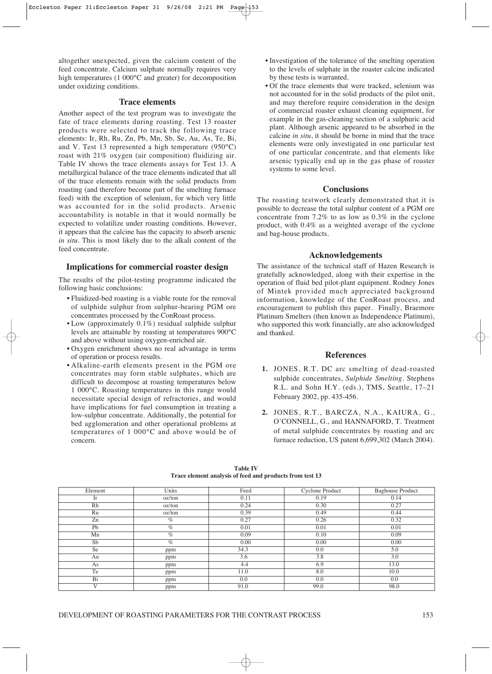altogether unexpected, given the calcium content of the feed concentrate. Calcium sulphate normally requires very high temperatures (1 000°C and greater) for decomposition under oxidizing conditions.

#### **Trace elements**

Another aspect of the test program was to investigate the fate of trace elements during roasting. Test 13 roaster products were selected to track the following trace elements: Ir, Rh, Ru, Zn, Pb, Mn, Sb, Se, Au, As, Te, Bi, and V. Test 13 represented a high temperature (950°C) roast with 21% oxygen (air composition) fluidizing air. Table IV shows the trace elements assays for Test 13. A metallurgical balance of the trace elements indicated that all of the trace elements remain with the solid products from roasting (and therefore become part of the smelting furnace feed) with the exception of selenium, for which very little was accounted for in the solid products. Arsenic accountability is notable in that it would normally be expected to volatilize under roasting conditions. However, it appears that the calcine has the capacity to absorb arsenic *in situ*. This is most likely due to the alkali content of the feed concentrate.

#### **Implications for commercial roaster design**

The results of the pilot-testing programme indicated the following basic conclusions:

- Fluidized-bed roasting is a viable route for the removal of sulphide sulphur from sulphur-bearing PGM ore concentrates processed by the ConRoast process.
- Low (approximately 0.1%) residual sulphide sulphur levels are attainable by roasting at temperatures 900°C and above without using oxygen-enriched air.
- Oxygen enrichment shows no real advantage in terms of operation or process results.
- Alkaline-earth elements present in the PGM ore concentrates may form stable sulphates, which are difficult to decompose at roasting temperatures below 1 000°C. Roasting temperatures in this range would necessitate special design of refractories, and would have implications for fuel consumption in treating a low-sulphur concentrate. Additionally, the potential for bed agglomeration and other operational problems at temperatures of 1 000°C and above would be of concern.
- Investigation of the tolerance of the smelting operation to the levels of sulphate in the roaster calcine indicated by these tests is warranted.
- Of the trace elements that were tracked, selenium was not accounted for in the solid products of the pilot unit, and may therefore require consideration in the design of commercial roaster exhaust cleaning equipment, for example in the gas-cleaning section of a sulphuric acid plant. Although arsenic appeared to be absorbed in the calcine *in situ*, it should be borne in mind that the trace elements were only investigated in one particular test of one particular concentrate, and that elements like arsenic typically end up in the gas phase of roaster systems to some level.

#### **Conclusions**

The roasting testwork clearly demonstrated that it is possible to decrease the total sulphur content of a PGM ore concentrate from 7.2% to as low as 0.3% in the cyclone product, with 0.4% as a weighted average of the cyclone and bag-house products.

#### **Acknowledgements**

The assistance of the technical staff of Hazen Research is gratefully acknowledged, along with their expertise in the operation of fluid bed pilot-plant equipment. Rodney Jones of Mintek provided much appreciated background information, knowledge of the ConRoast process, and encouragement to publish this paper. Finally, Braemore Platinum Smelters (then known as Independence Platinum), who supported this work financially, are also acknowledged and thanked.

#### **References**

- **1.** JONES, R.T. DC arc smelting of dead-roasted sulphide concentrates, *Sulphide Smelting*. Stephens R.L. and Sohn H.Y. (eds.), TMS, Seattle, 17–21 February 2002, pp. 435-456.
- **2.** JONES, R.T., BARCZA, N.A., KAIURA, G., O'CONNELL, G., and HANNAFORD, T. Treatment of metal sulphide concentrates by roasting and arc furnace reduction, US patent 6,699,302 (March 2004).

| Element | Units  | Feed | Cyclone Product | <b>Baghouse Product</b> |
|---------|--------|------|-----------------|-------------------------|
| Ir      | oz/ton | 0.11 | 0.19            | 0.14                    |
| Rh      | oz/ton | 0.24 | 0.30            | 0.27                    |
| Ru      | oz/ton | 0.39 | 0.49            | 0.44                    |
| Zn      | $\%$   | 0.27 | 0.26            | 0.32                    |
| Pb      | $\%$   | 0.01 | 0.01            | 0.01                    |
| Mn      | $\%$   | 0.09 | 0.10            | 0.09                    |
| Sb      | $\%$   | 0.00 | 0.00            | 0.00                    |
| Se      | ppm    | 34.3 | 0.0             | 5.0                     |
| Au      | ppm    | 3.6  | 3.8             | 3.0                     |
| As      | ppm    | 4.4  | 6.9             | 13.0                    |
| Te      | ppm    | 11.0 | 8.0             | 10.0                    |
| Bi      | ppm    | 0.0  | 0.0             | 0.0                     |
| V       | ppm    | 91.0 | 99.0            | 98.0                    |

**Table IV Trace element analysis of feed and products from test 13**